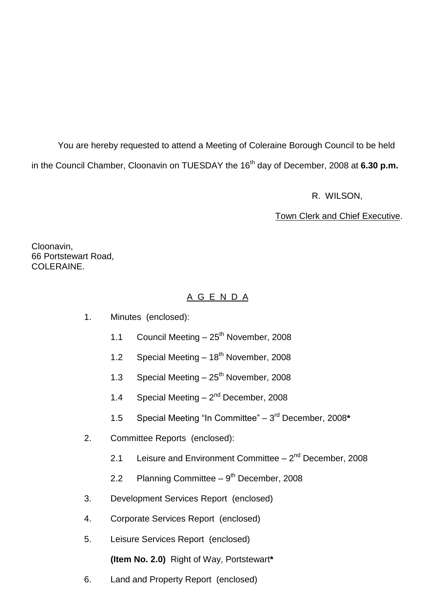You are hereby requested to attend a Meeting of Coleraine Borough Council to be held in the Council Chamber, Cloonavin on TUESDAY the 16<sup>th</sup> day of December, 2008 at **6.30 p.m.** 

R. WILSON,

Town Clerk and Chief Executive.

Cloonavin, 66 Portstewart Road, COLERAINE.

# A G E N D A

- 1. Minutes (enclosed):
	- 1.1 Council Meeting  $-25^{th}$  November, 2008
	- 1.2 Special Meeting  $-18^{th}$  November, 2008
	- 1.3 Special Meeting  $-25<sup>th</sup>$  November, 2008
	- 1.4 Special Meeting  $-2<sup>nd</sup>$  December, 2008
	- 1.5 Special Meeting "In Committee" 3<sup>rd</sup> December, 2008\*
- 2. Committee Reports (enclosed):
	- 2.1 Leisure and Environment Committee  $-2^{nd}$  December, 2008
	- 2.2 Planning Committee 9<sup>th</sup> December, 2008
- 3. Development Services Report (enclosed)
- 4. Corporate Services Report (enclosed)
- 5. Leisure Services Report (enclosed)

**(Item No. 2.0)** Right of Way, Portstewart**\***

6. Land and Property Report (enclosed)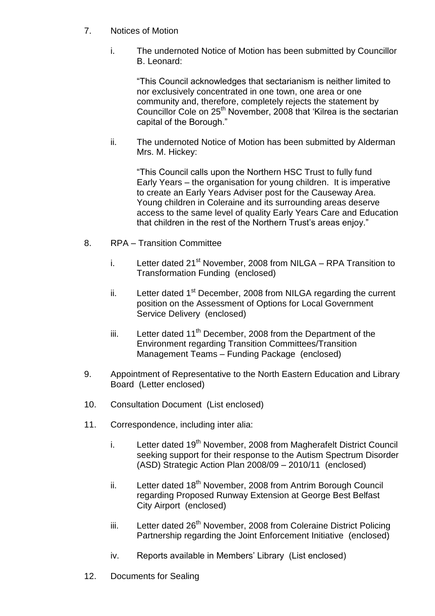- 7. Notices of Motion
	- i. The undernoted Notice of Motion has been submitted by Councillor B. Leonard:

"This Council acknowledges that sectarianism is neither limited to nor exclusively concentrated in one town, one area or one community and, therefore, completely rejects the statement by Councillor Cole on 25<sup>th</sup> November, 2008 that 'Kilrea is the sectarian capital of the Borough."

ii. The undernoted Notice of Motion has been submitted by Alderman Mrs. M. Hickey:

"This Council calls upon the Northern HSC Trust to fully fund Early Years – the organisation for young children. It is imperative to create an Early Years Adviser post for the Causeway Area. Young children in Coleraine and its surrounding areas deserve access to the same level of quality Early Years Care and Education that children in the rest of the Northern Trust's areas enjoy."

- 8. RPA Transition Committee
	- i. Letter dated 21<sup>st</sup> November, 2008 from NILGA RPA Transition to Transformation Funding (enclosed)
	- ii. Letter dated  $1<sup>st</sup>$  December, 2008 from NILGA regarding the current position on the Assessment of Options for Local Government Service Delivery (enclosed)
	- iii. Letter dated  $11<sup>th</sup>$  December, 2008 from the Department of the Environment regarding Transition Committees/Transition Management Teams – Funding Package (enclosed)
- 9. Appointment of Representative to the North Eastern Education and Library Board (Letter enclosed)
- 10. Consultation Document (List enclosed)
- 11. Correspondence, including inter alia:
	- i. Letter dated 19<sup>th</sup> November, 2008 from Magherafelt District Council seeking support for their response to the Autism Spectrum Disorder (ASD) Strategic Action Plan 2008/09 –2010/11 (enclosed)
	- ii. Letter dated 18<sup>th</sup> November, 2008 from Antrim Borough Council regarding Proposed Runway Extension at George Best Belfast City Airport (enclosed)
	- iii. Letter dated 26<sup>th</sup> November, 2008 from Coleraine District Policing Partnership regarding the Joint Enforcement Initiative (enclosed)
	- iv. Reports available in Members' Library (List enclosed)
- 12. Documents for Sealing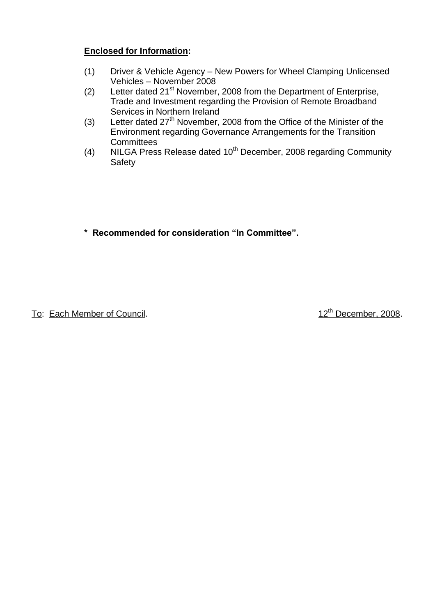# **Enclosed for Information:**

- (1) Driver & Vehicle Agency New Powers for Wheel Clamping Unlicensed Vehicles – November 2008
- (2) Letter dated 21<sup>st</sup> November, 2008 from the Department of Enterprise, Trade and Investment regarding the Provision of Remote Broadband Services in Northern Ireland
- (3) Letter dated  $27<sup>th</sup>$  November, 2008 from the Office of the Minister of the Environment regarding Governance Arrangements for the Transition **Committees**
- (4) NILGA Press Release dated 10<sup>th</sup> December, 2008 regarding Community **Safety**
- \* Recommended for consideration "In Committee".

To: Each Member of Council. 12<sup>th</sup> December, 2008.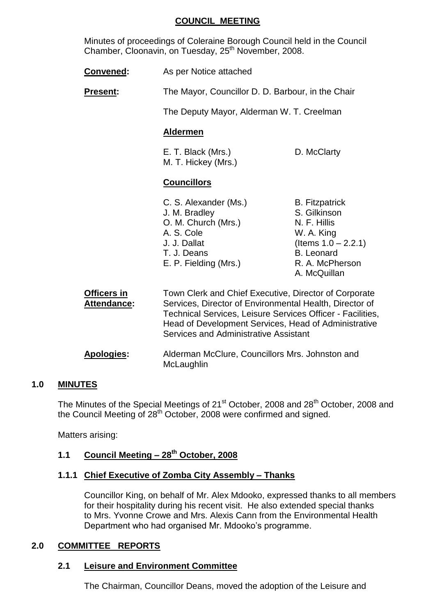### **COUNCIL MEETING**

Minutes of proceedings of Coleraine Borough Council held in the Council Chamber, Cloonavin, on Tuesday, 25<sup>th</sup> November, 2008.

| <b>Convened:</b> | As per Notice attached |
|------------------|------------------------|
|------------------|------------------------|

**Present:** The Mayor, Councillor D. D. Barbour, in the Chair

The Deputy Mayor, Alderman W. T. Creelman

### **Aldermen**

E. T. Black (Mrs.) D. McClarty M. T. Hickey (Mrs.)

### **Councillors**

| C. S. Alexander (Ms.) | <b>B.</b> Fitzpatrick  |
|-----------------------|------------------------|
| J. M. Bradley         | S. Gilkinson           |
| O. M. Church (Mrs.)   | N. F. Hillis           |
| A. S. Cole            | W. A. King             |
| J. J. Dallat          | (Items $1.0 - 2.2.1$ ) |
| T. J. Deans           | <b>B.</b> Leonard      |
| E. P. Fielding (Mrs.) | R. A. McPherson        |
|                       | A. McQuillan           |

**Officers in** Town Clerk and Chief Executive, Director of Corporate **Attendance:** Services, Director of Environmental Health, Director of Technical Services, Leisure Services Officer - Facilities, Head of Development Services, Head of Administrative Services and Administrative Assistant

**Apologies:** Alderman McClure, Councillors Mrs. Johnston and **McLaughlin** 

### **1.0 MINUTES**

The Minutes of the Special Meetings of 21<sup>st</sup> October, 2008 and 28<sup>th</sup> October, 2008 and the Council Meeting of 28<sup>th</sup> October, 2008 were confirmed and signed.

Matters arising:

# **1.1 Council Meeting –28th October, 2008**

### **1.1.1 Chief Executive of Zomba City Assembly –Thanks**

Councillor King, on behalf of Mr. Alex Mdooko, expressed thanks to all members for their hospitality during his recent visit. He also extended special thanks to Mrs. Yvonne Crowe and Mrs. Alexis Cann from the Environmental Health Department who had organised Mr. Mdooko's programme.

### **2.0 COMMITTEE REPORTS**

### **2.1 Leisure and Environment Committee**

The Chairman, Councillor Deans, moved the adoption of the Leisure and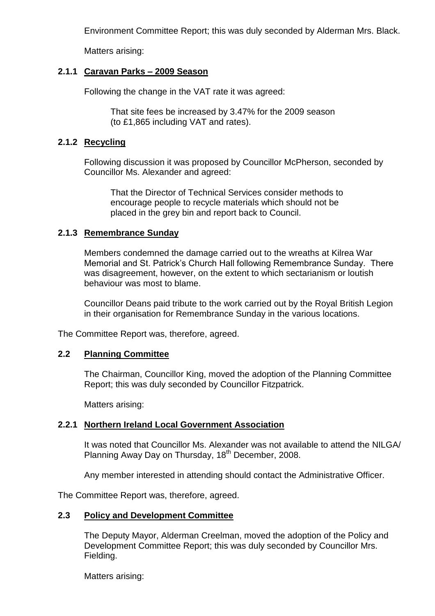Environment Committee Report; this was duly seconded by Alderman Mrs. Black.

Matters arising:

### **2.1.1 Caravan Parks –2009 Season**

Following the change in the VAT rate it was agreed:

That site fees be increased by 3.47% for the 2009 season (to £1,865 including VAT and rates).

### **2.1.2 Recycling**

Following discussion it was proposed by Councillor McPherson, seconded by Councillor Ms. Alexander and agreed:

That the Director of Technical Services consider methods to encourage people to recycle materials which should not be placed in the grey bin and report back to Council.

### **2.1.3 Remembrance Sunday**

Members condemned the damage carried out to the wreaths at Kilrea War Memorial and St. Patrick's Church Hall following Remembrance Sunday. There was disagreement, however, on the extent to which sectarianism or loutish behaviour was most to blame.

Councillor Deans paid tribute to the work carried out by the Royal British Legion in their organisation for Remembrance Sunday in the various locations.

The Committee Report was, therefore, agreed.

### **2.2 Planning Committee**

The Chairman, Councillor King, moved the adoption of the Planning Committee Report; this was duly seconded by Councillor Fitzpatrick.

Matters arising:

### **2.2.1 Northern Ireland Local Government Association**

It was noted that Councillor Ms. Alexander was not available to attend the NILGA/ Planning Away Day on Thursday, 18<sup>th</sup> December, 2008.

Any member interested in attending should contact the Administrative Officer.

The Committee Report was, therefore, agreed.

### **2.3 Policy and Development Committee**

The Deputy Mayor, Alderman Creelman, moved the adoption of the Policy and Development Committee Report; this was duly seconded by Councillor Mrs. Fielding.

Matters arising: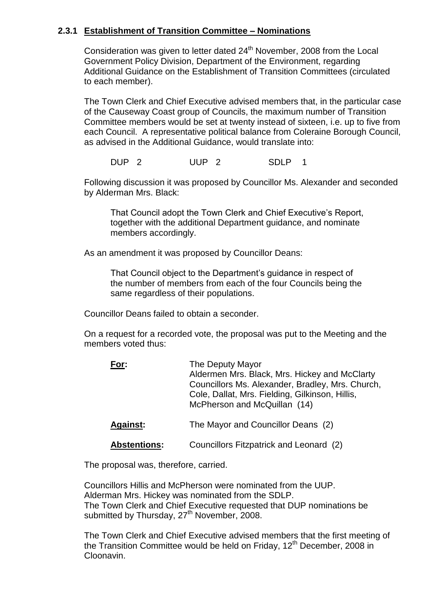### **2.3.1 Establishment of Transition Committee –Nominations**

Consideration was given to letter dated  $24<sup>th</sup>$  November, 2008 from the Local Government Policy Division, Department of the Environment, regarding Additional Guidance on the Establishment of Transition Committees (circulated to each member).

The Town Clerk and Chief Executive advised members that, in the particular case of the Causeway Coast group of Councils, the maximum number of Transition Committee members would be set at twenty instead of sixteen, i.e. up to five from each Council. A representative political balance from Coleraine Borough Council, as advised in the Additional Guidance, would translate into:

DUP 2 SDLP 1

Following discussion it was proposed by Councillor Ms. Alexander and seconded by Alderman Mrs. Black:

That Council adopt the Town Clerk and Chief Executive's Report, together with the additional Department guidance, and nominate members accordingly.

As an amendment it was proposed by Councillor Deans:

That Council object to the Department's guidance in respect of the number of members from each of the four Councils being the same regardless of their populations.

Councillor Deans failed to obtain a seconder.

On a request for a recorded vote, the proposal was put to the Meeting and the members voted thus:

| For:                | The Deputy Mayor<br>Aldermen Mrs. Black, Mrs. Hickey and McClarty<br>Councillors Ms. Alexander, Bradley, Mrs. Church,<br>Cole, Dallat, Mrs. Fielding, Gilkinson, Hillis,<br>McPherson and McQuillan (14) |
|---------------------|----------------------------------------------------------------------------------------------------------------------------------------------------------------------------------------------------------|
| <b>Against:</b>     | The Mayor and Councillor Deans (2)                                                                                                                                                                       |
| <b>Abstentions:</b> | Councillors Fitzpatrick and Leonard (2)                                                                                                                                                                  |

The proposal was, therefore, carried.

Councillors Hillis and McPherson were nominated from the UUP. Alderman Mrs. Hickey was nominated from the SDLP. The Town Clerk and Chief Executive requested that DUP nominations be submitted by Thursday,  $27<sup>th</sup>$  November, 2008.

The Town Clerk and Chief Executive advised members that the first meeting of the Transition Committee would be held on Friday,  $12<sup>th</sup>$  December, 2008 in Cloonavin.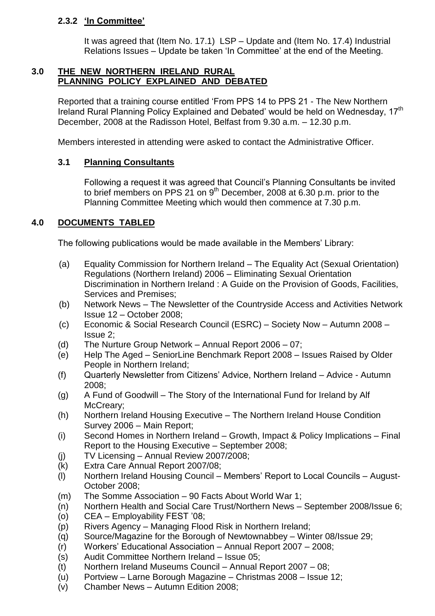# **2.3.2 'InCommittee'**

It was agreed that (Item No. 17.1) LSP – Update and (Item No. 17.4) Industrial Relations Issues – Update be taken 'In Committee' at the end of the Meeting.

### **3.0 THE NEW NORTHERN IRELAND RURAL PLANNING POLICY EXPLAINED AND DEBATED**

Reported that a training course entitled 'From PPS 14 to PPS 21 - The New Northern Ireland Rural Planning Policy Explained and Debated' would be held on Wednesday, 17<sup>th</sup> December, 2008 at the Radisson Hotel, Belfast from 9.30 a.m. –12.30 p.m.

Members interested in attending were asked to contact the Administrative Officer.

# **3.1 Planning Consultants**

Following a request it was agreed that Council's Planning Consultants be invited to brief members on PPS 21 on  $9<sup>th</sup>$  December, 2008 at 6.30 p.m. prior to the Planning Committee Meeting which would then commence at 7.30 p.m.

# **4.0 DOCUMENTS TABLED**

The following publications would be made available in the Members' Library:

- (a) Equality Commission for Northern Ireland –The Equality Act (Sexual Orientation) Regulations (Northern Ireland) 2006 – Eliminating Sexual Orientation Discrimination in Northern Ireland : A Guide on the Provision of Goods, Facilities, Services and Premises;
- (b) Network News –The Newsletter of the Countryside Access and Activities Network Issue 12 –October 2008;
- (c) Economic & Social Research Council (ESRC) Society Now Autumn 2008 Issue 2;
- (d) The Nurture Group Network Annual Report  $2006 07$ ;
- (e) Help The Aged SeniorLine Benchmark Report 2008 Issues Raised by Older People in Northern Ireland;
- (f) Quarterly Newsletter from Citizens' Advice, Northern Ireland Advice Autumn 2008;
- (g) A Fund of Goodwill –The Story of the International Fund for Ireland by Alf McCreary;
- (h) Northern Ireland Housing Executive –The Northern Ireland House Condition Survey 2006 – Main Report;
- (i) Second Homes in Northern Ireland –Growth, Impact & Policy Implications –Final Report to the Housing Executive – September 2008;
- (j) TV Licensing –Annual Review 2007/2008;
- (k) Extra Care Annual Report 2007/08;
- (I) Northern Ireland Housing Council Members' Report to Local Councils August-October 2008;
- (m) The Somme Association 90 Facts About World War 1;
- (n) Northern Health and Social Care Trust/Northern News September 2008/Issue 6;
- (o) CEA –Employability FEST'08;
- (p) Rivers Agency –Managing Flood Risk in Northern Ireland;
- (q) Source/Magazine for the Borough of Newtownabbey –Winter 08/Issue 29;
- (r) Workers'EducationalAssociation–Annual Report 2007 –2008;
- (s) Audit Committee Northern Ireland Issue 05:
- (t) Northern Ireland Museums Council –Annual Report 2007 –08;
- (u) Portview Larne Borough Magazine Christmas 2008 Issue 12;
- (v) Chamber News Autumn Edition 2008;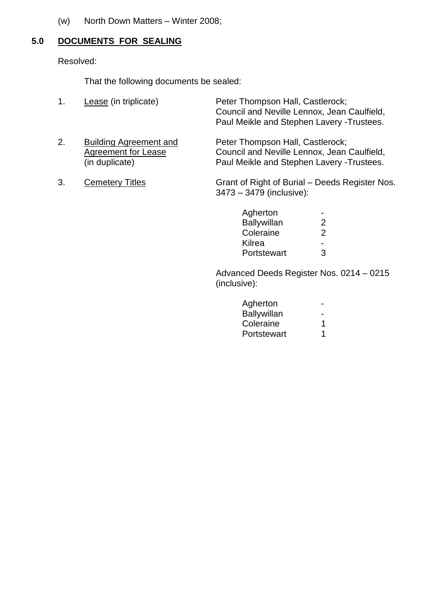(w) North Down Matters – Winter 2008;

# **5.0 DOCUMENTS FOR SEALING**

Resolved:

That the following documents be sealed:

| 1. | Lease (in triplicate)                                                         | Peter Thompson Hall, Castlerock;<br>Council and Neville Lennox, Jean Caulfield,<br>Paul Meikle and Stephen Lavery - Trustees. |
|----|-------------------------------------------------------------------------------|-------------------------------------------------------------------------------------------------------------------------------|
| 2. | <b>Building Agreement and</b><br><b>Agreement for Lease</b><br>(in duplicate) | Peter Thompson Hall, Castlerock;<br>Council and Neville Lennox, Jean Caulfield,<br>Paul Meikle and Stephen Lavery - Trustees. |
| 3. | <b>Cemetery Titles</b>                                                        | Grant of Right of Burial - Deeds Register Nos.<br>3473 - 3479 (inclusive):                                                    |

| Agherton           |   |
|--------------------|---|
| <b>Ballywillan</b> | 2 |
| Coleraine          | 2 |
| Kilrea             |   |
| Portstewart        | З |

Advanced Deeds Register Nos. 0214 –0215 (inclusive):

| Agherton    |   |
|-------------|---|
| Ballywillan |   |
| Coleraine   | 1 |
| Portstewart | 1 |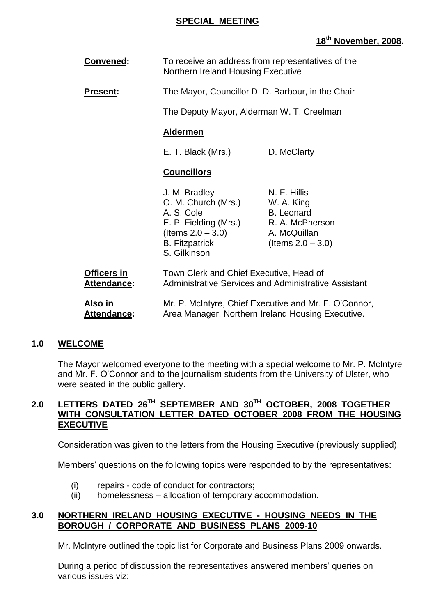### **SPECIAL MEETING**

# **18th November, 2008.**

| <b>Convened:</b>                  | To receive an address from representatives of the<br>Northern Ireland Housing Executive                                                      |                                                                                                            |
|-----------------------------------|----------------------------------------------------------------------------------------------------------------------------------------------|------------------------------------------------------------------------------------------------------------|
| <b>Present:</b>                   | The Mayor, Councillor D. D. Barbour, in the Chair                                                                                            |                                                                                                            |
|                                   | The Deputy Mayor, Alderman W. T. Creelman                                                                                                    |                                                                                                            |
|                                   | <b>Aldermen</b>                                                                                                                              |                                                                                                            |
|                                   | E. T. Black (Mrs.)                                                                                                                           | D. McClarty                                                                                                |
|                                   | <b>Councillors</b>                                                                                                                           |                                                                                                            |
|                                   | J. M. Bradley<br>O. M. Church (Mrs.)<br>A. S. Cole<br>E. P. Fielding (Mrs.)<br>(Items $2.0 - 3.0$ )<br><b>B.</b> Fitzpatrick<br>S. Gilkinson | N. F. Hillis<br>W. A. King<br><b>B.</b> Leonard<br>R. A. McPherson<br>A. McQuillan<br>(Items $2.0 - 3.0$ ) |
| <b>Officers in</b><br>Attendance: | Town Clerk and Chief Executive, Head of                                                                                                      | <b>Administrative Services and Administrative Assistant</b>                                                |
| Also in<br><b>Attendance:</b>     | Mr. P. McIntyre, Chief Executive and Mr. F. O'Connor,<br>Area Manager, Northern Ireland Housing Executive.                                   |                                                                                                            |

# **1.0 WELCOME**

The Mayor welcomed everyone to the meeting with a special welcome to Mr. P. McIntyre and Mr. F. O'Connor and to the journalism students from the University of Ulster, who were seated in the public gallery.

### **2.0 LETTERS DATED 26TH SEPTEMBER AND 30TH OCTOBER, 2008 TOGETHER WITH CONSULTATION LETTER DATED OCTOBER 2008 FROM THE HOUSING EXECUTIVE**

Consideration was given to the letters from the Housing Executive (previously supplied).

Members' questions on the following topics were responded to by the representatives:

- (i) repairs code of conduct for contractors;
- (ii) homelessness allocation of temporary accommodation.

### **3.0 NORTHERN IRELAND HOUSING EXECUTIVE - HOUSING NEEDS IN THE BOROUGH / CORPORATE AND BUSINESS PLANS 2009-10**

Mr. McIntyre outlined the topic list for Corporate and Business Plans 2009 onwards.

During a period of discussion the representatives answered members' queries on various issues viz: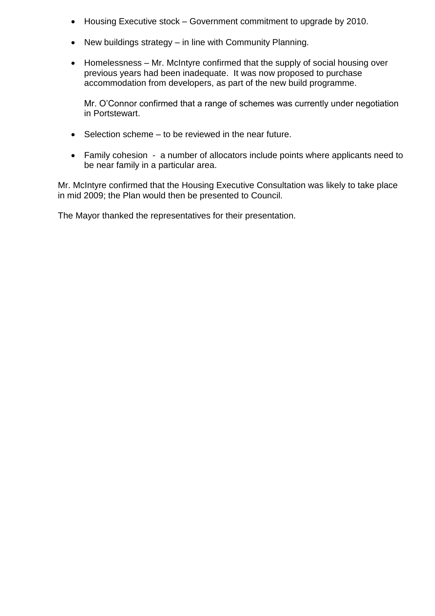- Housing Executive stock Government commitment to upgrade by 2010.
- New buildings strategy  $-$  in line with Community Planning.
- Homelessness Mr. McIntyre confirmed that the supply of social housing over previous years had been inadequate. It was now proposed to purchase accommodation from developers, as part of the new build programme.

Mr. O'Connor confirmed that a range of schemes was currently under negotiation in Portstewart.

- $\bullet$  Selection scheme to be reviewed in the near future.
- Family cohesion a number of allocators include points where applicants need to be near family in a particular area.

Mr. McIntyre confirmed that the Housing Executive Consultation was likely to take place in mid 2009; the Plan would then be presented to Council.

The Mayor thanked the representatives for their presentation.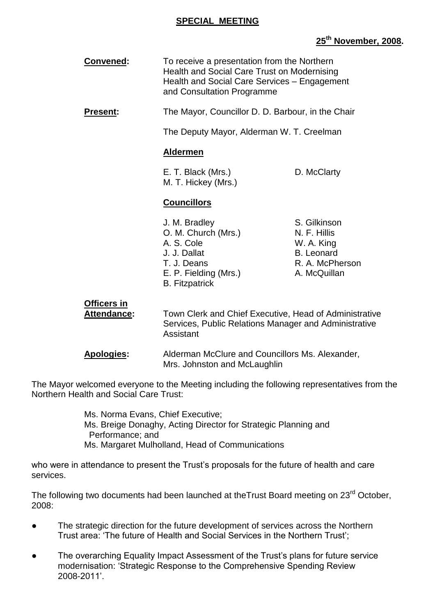### **SPECIAL MEETING**

# **25th November, 2008.**

| Convened:                         | To receive a presentation from the Northern<br>Health and Social Care Trust on Modernising<br>Health and Social Care Services - Engagement<br>and Consultation Programme |                                                                                                                 |
|-----------------------------------|--------------------------------------------------------------------------------------------------------------------------------------------------------------------------|-----------------------------------------------------------------------------------------------------------------|
| <b>Present:</b>                   | The Mayor, Councillor D. D. Barbour, in the Chair                                                                                                                        |                                                                                                                 |
|                                   | The Deputy Mayor, Alderman W. T. Creelman                                                                                                                                |                                                                                                                 |
|                                   | <b>Aldermen</b>                                                                                                                                                          |                                                                                                                 |
|                                   | E. T. Black (Mrs.)<br>M. T. Hickey (Mrs.)                                                                                                                                | D. McClarty                                                                                                     |
|                                   | <b>Councillors</b>                                                                                                                                                       |                                                                                                                 |
|                                   | J. M. Bradley<br>O. M. Church (Mrs.)<br>A. S. Cole<br>J. J. Dallat<br>T. J. Deans<br>E. P. Fielding (Mrs.)<br><b>B.</b> Fitzpatrick                                      | S. Gilkinson<br>N. F. Hillis<br>W. A. King<br><b>B.</b> Leonard<br>R. A. McPherson<br>A. McQuillan              |
| <b>Officers in</b><br>Attendance: | Assistant                                                                                                                                                                | Town Clerk and Chief Executive, Head of Administrative<br>Services, Public Relations Manager and Administrative |
| <b>Apologies:</b>                 | Alderman McClure and Councillors Ms. Alexander,<br>Mrs. Johnston and McLaughlin                                                                                          |                                                                                                                 |

The Mayor welcomed everyone to the Meeting including the following representatives from the Northern Health and Social Care Trust:

> Ms. Norma Evans, Chief Executive; Ms. Breige Donaghy, Acting Director for Strategic Planning and Performance; and Ms. Margaret Mulholland, Head of Communications

who were in attendance to present the Trust's proposals for the future of health and care services.

The following two documents had been launched at theTrust Board meeting on 23<sup>rd</sup> October, 2008:

- The strategic direction for the future development of services across the Northern Trust area: 'The future of Health and Social Services in the Northern Trust';
- The overarching Equality Impact Assessment of the Trust's plans for future service modernisation: 'Strategic Response to the Comprehensive Spending Review 2008-2011'.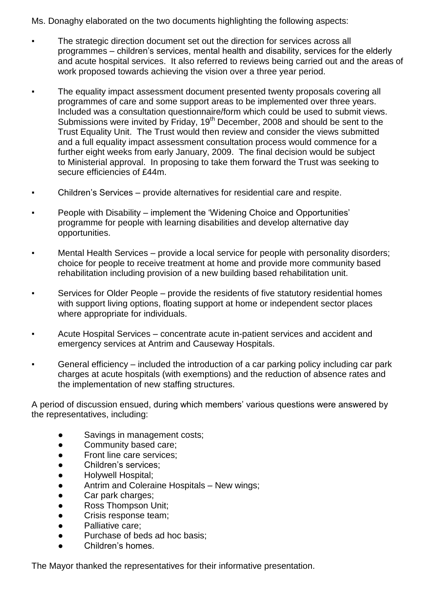Ms. Donaghy elaborated on the two documents highlighting the following aspects:

- The strategic direction document set out the direction for services across all programmes – children's services, mental health and disability, services for the elderly and acute hospital services. It also referred to reviews being carried out and the areas of work proposed towards achieving the vision over a three year period.
- The equality impact assessment document presented twenty proposals covering all programmes of care and some support areas to be implemented over three years. Included was a consultation questionnaire/form which could be used to submit views. Submissions were invited by  $\overline{F}$ riday, 19<sup>th</sup> December, 2008 and should be sent to the Trust Equality Unit. The Trust would then review and consider the views submitted and a full equality impact assessment consultation process would commence for a further eight weeks from early January, 2009. The final decision would be subject to Ministerial approval. In proposing to take them forward the Trust was seeking to secure efficiencies of £44m.
- **•** Children's Services provide alternatives for residential care and respite.
- People with Disability implement the 'Widening Choice and Opportunities' programme for people with learning disabilities and develop alternative day opportunities.
- Mental Health Services provide a local service for people with personality disorders; choice for people to receive treatment at home and provide more community based rehabilitation including provision of a new building based rehabilitation unit.
- Services for Older People provide the residents of five statutory residential homes with support living options, floating support at home or independent sector places where appropriate for individuals.
- **EXECT** Acute Hospital Services concentrate acute in-patient services and accident and emergency services at Antrim and Causeway Hospitals.
- General efficiency included the introduction of a car parking policy including car park charges at acute hospitals (with exemptions) and the reduction of absence rates and the implementation of new staffing structures.

A period of discussion ensued, during which members' various questions were answered by the representatives, including:

- Savings in management costs;
- Community based care:
- Front line care services;
- Children's services:
- Holywell Hospital;
- Antrim and Coleraine Hospitals New wings;
- Car park charges;
- Ross Thompson Unit;
- Crisis response team;
- Palliative care:
- Purchase of beds ad hoc basis;
- Children's homes.

The Mayor thanked the representatives for their informative presentation.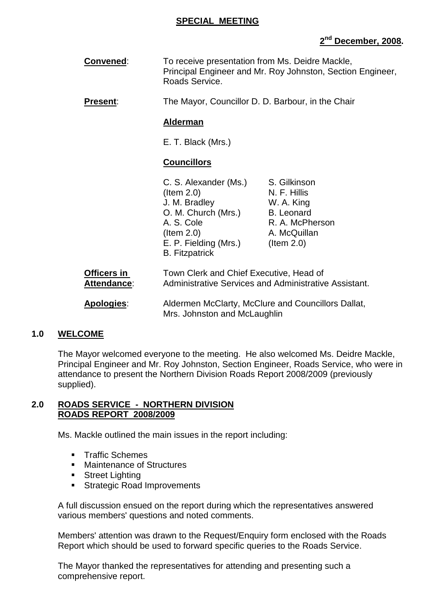### **SPECIAL MEETING**

# **2 nd December, 2008.**

**Convened:** To receive presentation from Ms. Deidre Mackle, Principal Engineer and Mr. Roy Johnston, Section Engineer, Roads Service.

**Present:** The Mayor, Councillor D. D. Barbour, in the Chair

#### **Alderman**

E. T. Black (Mrs.)

### **Councillors**

|                            | C. S. Alexander (Ms.)                          | S. Gilkinson                                          |
|----------------------------|------------------------------------------------|-------------------------------------------------------|
|                            | $($ ltem 2.0)                                  | N. F. Hillis                                          |
|                            | J. M. Bradley                                  | W. A. King                                            |
|                            | O. M. Church (Mrs.)                            | <b>B.</b> Leonard                                     |
|                            | A. S. Cole                                     | R. A. McPherson                                       |
|                            | $($ ltem 2.0)                                  | A. McQuillan                                          |
|                            | E. P. Fielding (Mrs.)<br><b>B.</b> Fitzpatrick | $($ ltem 2.0)                                         |
| Officers in<br>Attendance: | Town Clerk and Chief Executive, Head of        | Administrative Services and Administrative Assistant. |
| Apologies:                 |                                                | Aldermen McClarty, McClure and Councillors Dallat,    |

# **1.0 WELCOME**

The Mayor welcomed everyone to the meeting. He also welcomed Ms. Deidre Mackle, Principal Engineer and Mr. Roy Johnston, Section Engineer, Roads Service, who were in attendance to present the Northern Division Roads Report 2008/2009 (previously supplied).

Mrs. Johnston and McLaughlin

#### **2.0 ROADS SERVICE - NORTHERN DIVISION ROADS REPORT 2008/2009**

Ms. Mackle outlined the main issues in the report including:

- **Traffic Schemes**
- **Maintenance of Structures**
- **Street Lighting**
- **Strategic Road Improvements**

A full discussion ensued on the report during which the representatives answered various members' questions and noted comments.

Members' attention was drawn to the Request/Enquiry form enclosed with the Roads Report which should be used to forward specific queries to the Roads Service.

The Mayor thanked the representatives for attending and presenting such a comprehensive report.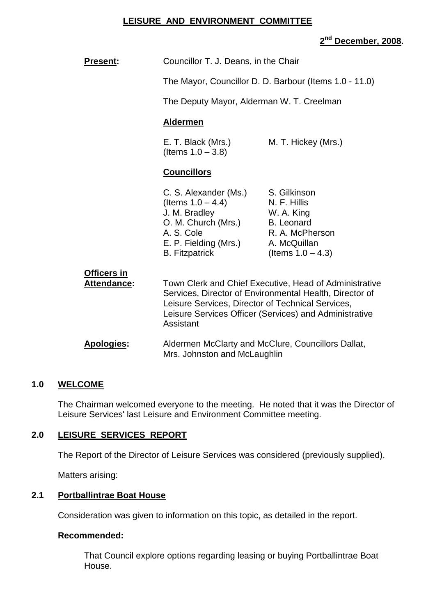### **LEISURE AND ENVIRONMENT COMMITTEE**

# **2 nd December, 2008.**

| <b>Present:</b>                   | Councillor T. J. Deans, in the Chair                                                                                                                                                                                                          |                                                                                                                            |
|-----------------------------------|-----------------------------------------------------------------------------------------------------------------------------------------------------------------------------------------------------------------------------------------------|----------------------------------------------------------------------------------------------------------------------------|
|                                   |                                                                                                                                                                                                                                               | The Mayor, Councillor D. D. Barbour (Items 1.0 - 11.0)                                                                     |
|                                   | The Deputy Mayor, Alderman W. T. Creelman                                                                                                                                                                                                     |                                                                                                                            |
|                                   | <b>Aldermen</b>                                                                                                                                                                                                                               |                                                                                                                            |
|                                   | E. T. Black (Mrs.)<br>(Items $1.0 - 3.8$ )                                                                                                                                                                                                    | M. T. Hickey (Mrs.)                                                                                                        |
|                                   | <b>Councillors</b>                                                                                                                                                                                                                            |                                                                                                                            |
|                                   | C. S. Alexander (Ms.)<br>(Items $1.0 - 4.4$ )<br>J. M. Bradley<br>O. M. Church (Mrs.)<br>A. S. Cole<br>E. P. Fielding (Mrs.)<br><b>B.</b> Fitzpatrick                                                                                         | S. Gilkinson<br>N. F. Hillis<br>W. A. King<br><b>B.</b> Leonard<br>R. A. McPherson<br>A. McQuillan<br>(Items $1.0 - 4.3$ ) |
| Officers in<br><b>Attendance:</b> | Town Clerk and Chief Executive, Head of Administrative<br>Services, Director of Environmental Health, Director of<br>Leisure Services, Director of Technical Services,<br>Leisure Services Officer (Services) and Administrative<br>Assistant |                                                                                                                            |
| <b>Apologies:</b>                 | Aldermen McClarty and McClure, Councillors Dallat,<br>Mrs. Johnston and McLaughlin                                                                                                                                                            |                                                                                                                            |

# **1.0 WELCOME**

The Chairman welcomed everyone to the meeting. He noted that it was the Director of Leisure Services' last Leisure and Environment Committee meeting.

# **2.0 LEISURE SERVICES REPORT**

The Report of the Director of Leisure Services was considered (previously supplied).

Matters arising:

### **2.1 Portballintrae Boat House**

Consideration was given to information on this topic, as detailed in the report.

### **Recommended:**

That Council explore options regarding leasing or buying Portballintrae Boat House.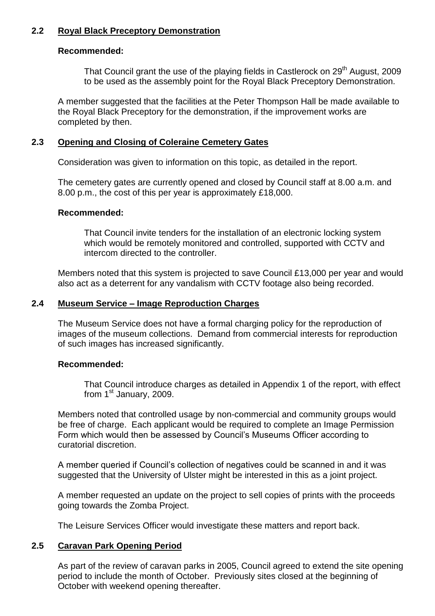### **2.2 Royal Black Preceptory Demonstration**

### **Recommended:**

That Council grant the use of the playing fields in Castlerock on 29<sup>th</sup> August, 2009 to be used as the assembly point for the Royal Black Preceptory Demonstration.

A member suggested that the facilities at the Peter Thompson Hall be made available to the Royal Black Preceptory for the demonstration, if the improvement works are completed by then.

#### **2.3 Opening and Closing of Coleraine Cemetery Gates**

Consideration was given to information on this topic, as detailed in the report.

The cemetery gates are currently opened and closed by Council staff at 8.00 a.m. and 8.00 p.m., the cost of this per year is approximately £18,000.

#### **Recommended:**

That Council invite tenders for the installation of an electronic locking system which would be remotely monitored and controlled, supported with CCTV and intercom directed to the controller.

Members noted that this system is projected to save Council £13,000 per year and would also act as a deterrent for any vandalism with CCTV footage also being recorded.

#### **2.4 Museum Service –Image Reproduction Charges**

The Museum Service does not have a formal charging policy for the reproduction of images of the museum collections. Demand from commercial interests for reproduction of such images has increased significantly.

### **Recommended:**

That Council introduce charges as detailed in Appendix 1 of the report, with effect from 1<sup>st</sup> January, 2009.

Members noted that controlled usage by non-commercial and community groups would be free of charge. Each applicant would be required to complete an Image Permission Form which would then be assessed by Council's Museums Officer according to curatorial discretion.

A member queried if Council's collection of negatives could be scanned in and it was suggested that the University of Ulster might be interested in this as a joint project.

A member requested an update on the project to sell copies of prints with the proceeds going towards the Zomba Project.

The Leisure Services Officer would investigate these matters and report back.

### **2.5 Caravan Park Opening Period**

As part of the review of caravan parks in 2005, Council agreed to extend the site opening period to include the month of October. Previously sites closed at the beginning of October with weekend opening thereafter.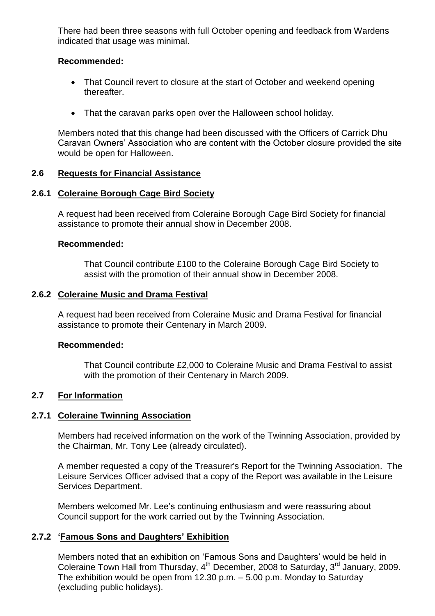There had been three seasons with full October opening and feedback from Wardens indicated that usage was minimal.

### **Recommended:**

- That Council revert to closure at the start of October and weekend opening thereafter.
- That the caravan parks open over the Halloween school holiday.

Members noted that this change had been discussed with the Officers of Carrick Dhu Caravan Owners' Association who are content with the October closure provided the site would be open for Halloween.

### **2.6 Requests for Financial Assistance**

### **2.6.1 Coleraine Borough Cage Bird Society**

A request had been received from Coleraine Borough Cage Bird Society for financial assistance to promote their annual show in December 2008.

### **Recommended:**

That Council contribute £100 to the Coleraine Borough Cage Bird Society to assist with the promotion of their annual show in December 2008.

### **2.6.2 Coleraine Music and Drama Festival**

A request had been received from Coleraine Music and Drama Festival for financial assistance to promote their Centenary in March 2009.

### **Recommended:**

That Council contribute £2,000 to Coleraine Music and Drama Festival to assist with the promotion of their Centenary in March 2009.

### **2.7 For Information**

### **2.7.1 Coleraine Twinning Association**

Members had received information on the work of the Twinning Association, provided by the Chairman, Mr. Tony Lee (already circulated).

A member requested a copy of the Treasurer's Report for the Twinning Association. The Leisure Services Officer advised that a copy of the Report was available in the Leisure Services Department.

Members welcomed Mr. Lee's continuing enthusiasm and were reassuring about Council support for the work carried out by the Twinning Association.

### **2.7.2 'Famous Sons and Daughters' Exhibition**

Members noted that an exhibition on 'Famous Sons and Daughters' would be held in Coleraine Town Hall from Thursday, 4<sup>th</sup> December, 2008 to Saturday, 3<sup>rd</sup> January, 2009. The exhibition would be open from 12.30 p.m. –5.00 p.m. Monday to Saturday (excluding public holidays).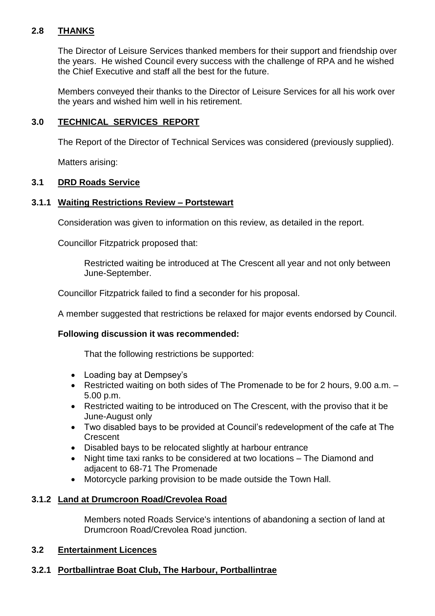# **2.8 THANKS**

The Director of Leisure Services thanked members for their support and friendship over the years. He wished Council every success with the challenge of RPA and he wished the Chief Executive and staff all the best for the future.

Members conveyed their thanks to the Director of Leisure Services for all his work over the years and wished him well in his retirement.

# **3.0 TECHNICAL SERVICES REPORT**

The Report of the Director of Technical Services was considered (previously supplied).

Matters arising:

# **3.1 DRD Roads Service**

### **3.1.1 Waiting Restrictions Review –Portstewart**

Consideration was given to information on this review, as detailed in the report.

Councillor Fitzpatrick proposed that:

Restricted waiting be introduced at The Crescent all year and not only between June-September.

Councillor Fitzpatrick failed to find a seconder for his proposal.

A member suggested that restrictions be relaxed for major events endorsed by Council.

# **Following discussion it was recommended:**

That the following restrictions be supported:

- Loading bay at Dempsey's
- Restricted waiting on both sides of The Promenade to be for 2 hours, 9.00 a.m. 5.00 p.m.
- Restricted waiting to be introduced on The Crescent, with the proviso that it be June-August only
- Two disabled bays to be provided at Council's redevelopment of the cafe at The **Crescent**
- Disabled bays to be relocated slightly at harbour entrance
- Night time taxi ranks to be considered at two locations The Diamond and adjacent to 68-71 The Promenade
- Motorcycle parking provision to be made outside the Town Hall.

# **3.1.2 Land at Drumcroon Road/Crevolea Road**

Members noted Roads Service's intentions of abandoning a section of land at Drumcroon Road/Crevolea Road junction.

### **3.2 Entertainment Licences**

# **3.2.1 Portballintrae Boat Club, The Harbour, Portballintrae**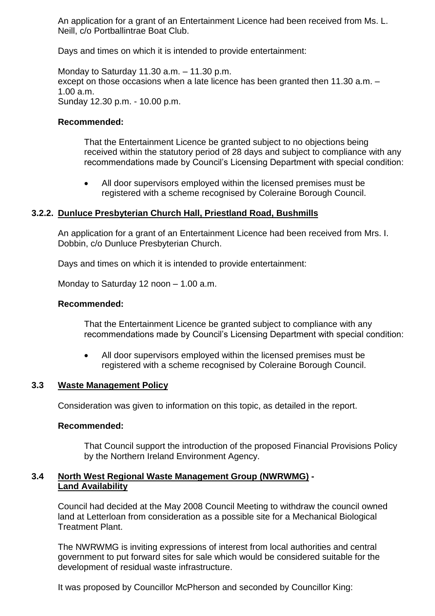An application for a grant of an Entertainment Licence had been received from Ms. L. Neill, c/o Portballintrae Boat Club.

Days and times on which it is intended to provide entertainment:

Monday to Saturday 11.30  $a.m. -11.30$  p.m. except on those occasions when a late licence has been granted then 11.30 a.m. – 1.00 a.m. Sunday 12.30 p.m. - 10.00 p.m.

### **Recommended:**

That the Entertainment Licence be granted subject to no objections being received within the statutory period of 28 days and subject to compliance with any recommendations made by Council's Licensing Department with special condition:

 All door supervisors employed within the licensed premises must be registered with a scheme recognised by Coleraine Borough Council.

#### **3.2.2. Dunluce Presbyterian Church Hall, Priestland Road, Bushmills**

An application for a grant of an Entertainment Licence had been received from Mrs. I. Dobbin, c/o Dunluce Presbyterian Church.

Days and times on which it is intended to provide entertainment:

Monday to Saturday 12 noon  $-$  1.00 a.m.

#### **Recommended:**

That the Entertainment Licence be granted subject to compliance with any recommendations made by Council's Licensing Department with special condition:

 All door supervisors employed within the licensed premises must be registered with a scheme recognised by Coleraine Borough Council.

#### **3.3 Waste Management Policy**

Consideration was given to information on this topic, as detailed in the report.

#### **Recommended:**

That Council support the introduction of the proposed Financial Provisions Policy by the Northern Ireland Environment Agency.

#### **3.4 North West Regional Waste Management Group (NWRWMG) - Land Availability**

Council had decided at the May 2008 Council Meeting to withdraw the council owned land at Letterloan from consideration as a possible site for a Mechanical Biological Treatment Plant.

The NWRWMG is inviting expressions of interest from local authorities and central government to put forward sites for sale which would be considered suitable for the development of residual waste infrastructure.

It was proposed by Councillor McPherson and seconded by Councillor King: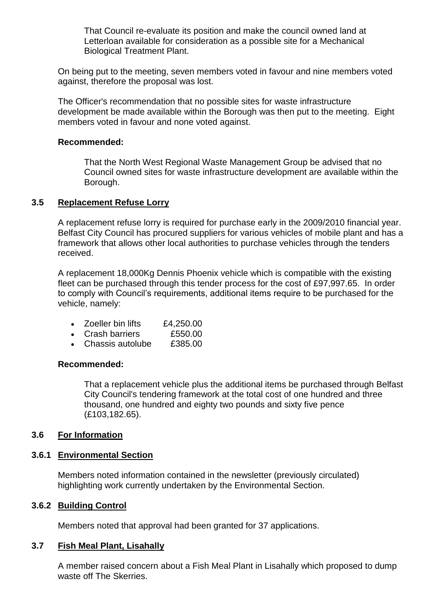That Council re-evaluate its position and make the council owned land at Letterloan available for consideration as a possible site for a Mechanical Biological Treatment Plant.

On being put to the meeting, seven members voted in favour and nine members voted against, therefore the proposal was lost.

The Officer's recommendation that no possible sites for waste infrastructure development be made available within the Borough was then put to the meeting. Eight members voted in favour and none voted against.

#### **Recommended:**

That the North West Regional Waste Management Group be advised that no Council owned sites for waste infrastructure development are available within the Borough.

### **3.5 Replacement Refuse Lorry**

A replacement refuse lorry is required for purchase early in the 2009/2010 financial year. Belfast City Council has procured suppliers for various vehicles of mobile plant and has a framework that allows other local authorities to purchase vehicles through the tenders received.

A replacement 18,000Kg Dennis Phoenix vehicle which is compatible with the existing fleet can be purchased through this tender process for the cost of £97,997.65. In order to comply with Council's requirements, additional items require to be purchased for the vehicle, namely:

- Zoeller bin lifts £4,250.00
- Crash barriers £550.00
- Chassis autolube £385.00

#### **Recommended:**

That a replacement vehicle plus the additional items be purchased through Belfast City Council's tendering framework at the total cost of one hundred and three thousand, one hundred and eighty two pounds and sixty five pence (£103,182.65).

### **3.6 For Information**

### **3.6.1 Environmental Section**

Members noted information contained in the newsletter (previously circulated) highlighting work currently undertaken by the Environmental Section.

#### **3.6.2 Building Control**

Members noted that approval had been granted for 37 applications.

### **3.7 Fish Meal Plant, Lisahally**

A member raised concern about a Fish Meal Plant in Lisahally which proposed to dump waste off The Skerries.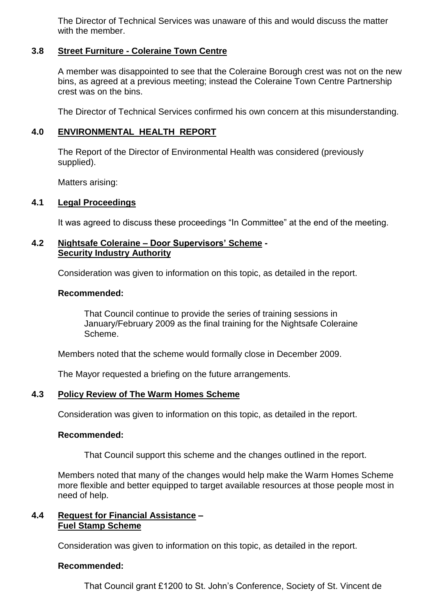The Director of Technical Services was unaware of this and would discuss the matter with the member.

### **3.8 Street Furniture - Coleraine Town Centre**

A member was disappointed to see that the Coleraine Borough crest was not on the new bins, as agreed at a previous meeting; instead the Coleraine Town Centre Partnership crest was on the bins.

The Director of Technical Services confirmed his own concern at this misunderstanding.

### **4.0 ENVIRONMENTAL HEALTH REPORT**

The Report of the Director of Environmental Health was considered (previously supplied).

Matters arising:

### **4.1 Legal Proceedings**

It was agreed to discuss these proceedings "In Committee" at the end of the meeting.

### **4.2 Nightsafe Coleraine –DoorSupervisors'Scheme - Security Industry Authority**

Consideration was given to information on this topic, as detailed in the report.

#### **Recommended:**

That Council continue to provide the series of training sessions in January/February 2009 as the final training for the Nightsafe Coleraine Scheme.

Members noted that the scheme would formally close in December 2009.

The Mayor requested a briefing on the future arrangements.

### **4.3 Policy Review of The Warm Homes Scheme**

Consideration was given to information on this topic, as detailed in the report.

### **Recommended:**

That Council support this scheme and the changes outlined in the report.

Members noted that many of the changes would help make the Warm Homes Scheme more flexible and better equipped to target available resources at those people most in need of help.

### **4.4 Request for Financial Assistance – Fuel Stamp Scheme**

Consideration was given to information on this topic, as detailed in the report.

### **Recommended:**

That Council grant £1200 to St. John's Conference, Society of St. Vincent de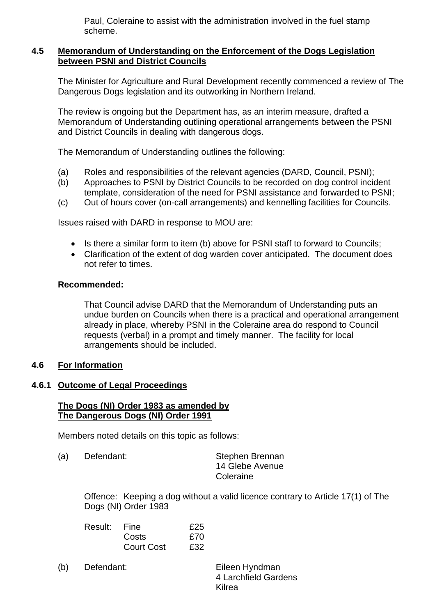Paul, Coleraine to assist with the administration involved in the fuel stamp scheme.

### **4.5 Memorandum of Understanding on the Enforcement of the Dogs Legislation between PSNI and District Councils**

The Minister for Agriculture and Rural Development recently commenced a review of The Dangerous Dogs legislation and its outworking in Northern Ireland.

The review is ongoing but the Department has, as an interim measure, drafted a Memorandum of Understanding outlining operational arrangements between the PSNI and District Councils in dealing with dangerous dogs.

The Memorandum of Understanding outlines the following:

- (a) Roles and responsibilities of the relevant agencies (DARD, Council, PSNI);
- (b) Approaches to PSNI by District Councils to be recorded on dog control incident template, consideration of the need for PSNI assistance and forwarded to PSNI;
- (c) Out of hours cover (on-call arrangements) and kennelling facilities for Councils.

Issues raised with DARD in response to MOU are:

- Is there a similar form to item (b) above for PSNI staff to forward to Councils;
- Clarification of the extent of dog warden cover anticipated. The document does not refer to times.

### **Recommended:**

That Council advise DARD that the Memorandum of Understanding puts an undue burden on Councils when there is a practical and operational arrangement already in place, whereby PSNI in the Coleraine area do respond to Council requests (verbal) in a prompt and timely manner. The facility for local arrangements should be included.

### **4.6 For Information**

#### **4.6.1 Outcome of Legal Proceedings**

#### **The Dogs (NI) Order 1983 as amended by The Dangerous Dogs (NI) Order 1991**

Members noted details on this topic as follows:

(a) Defendant: Stephen Brennan

14 Glebe Avenue Coleraine

Offence: Keeping a dog without a valid licence contrary to Article 17(1) of The Dogs (NI) Order 1983

| Result: Fine |                   | £25 |
|--------------|-------------------|-----|
|              | Costs             | £70 |
|              | <b>Court Cost</b> | £32 |

(b) Defendant: Eileen Hyndman

4 Larchfield Gardens Kilrea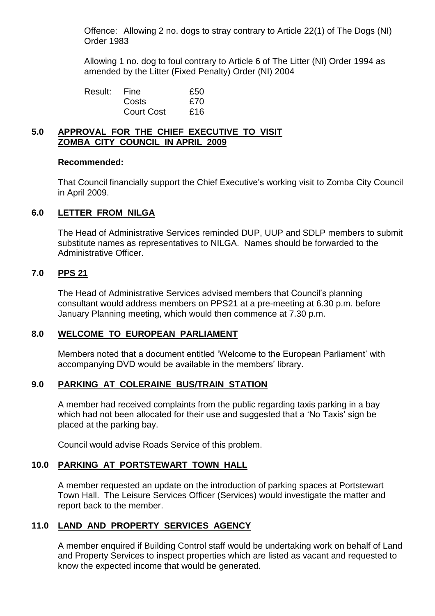Offence: Allowing 2 no. dogs to stray contrary to Article 22(1) of The Dogs (NI) Order 1983

Allowing 1 no. dog to foul contrary to Article 6 of The Litter (NI) Order 1994 as amended by the Litter (Fixed Penalty) Order (NI) 2004

| Result: | Fine              | £50 |
|---------|-------------------|-----|
|         | Costs             | £70 |
|         | <b>Court Cost</b> | £16 |

### **5.0 APPROVAL FOR THE CHIEF EXECUTIVE TO VISIT ZOMBA CITY COUNCIL IN APRIL 2009**

#### **Recommended:**

That Council financially support the Chief Executive'sworking visit to Zomba City Council in April 2009.

### **6.0 LETTER FROM NILGA**

The Head of Administrative Services reminded DUP, UUP and SDLP members to submit substitute names as representatives to NILGA. Names should be forwarded to the Administrative Officer.

### **7.0 PPS 21**

The Head of Administrative Services advised members that Council's planning consultant would address members on PPS21 at a pre-meeting at 6.30 p.m. before January Planning meeting, which would then commence at 7.30 p.m.

### **8.0 WELCOME TO EUROPEAN PARLIAMENT**

Members noted that a document entitled 'Welcome to the European Parliament' with accompanying DVD would be available in the members' library.

### **9.0 PARKING AT COLERAINE BUS/TRAIN STATION**

A member had received complaints from the public regarding taxis parking in a bay which had not been allocated for their use and suggested that a 'No Taxis' sign be placed at the parking bay.

Council would advise Roads Service of this problem.

# **10.0 PARKING AT PORTSTEWART TOWN HALL**

A member requested an update on the introduction of parking spaces at Portstewart Town Hall. The Leisure Services Officer (Services) would investigate the matter and report back to the member.

### **11.0 LAND AND PROPERTY SERVICES AGENCY**

A member enquired if Building Control staff would be undertaking work on behalf of Land and Property Services to inspect properties which are listed as vacant and requested to know the expected income that would be generated.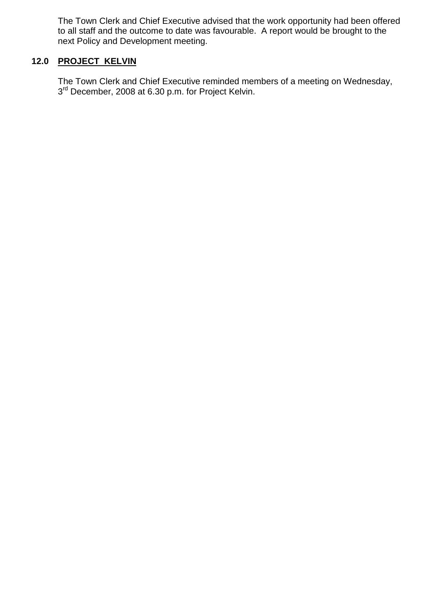The Town Clerk and Chief Executive advised that the work opportunity had been offered to all staff and the outcome to date was favourable. A report would be brought to the next Policy and Development meeting.

# **12.0 PROJECT KELVIN**

The Town Clerk and Chief Executive reminded members of a meeting on Wednesday, 3<sup>rd</sup> December, 2008 at 6.30 p.m. for Project Kelvin.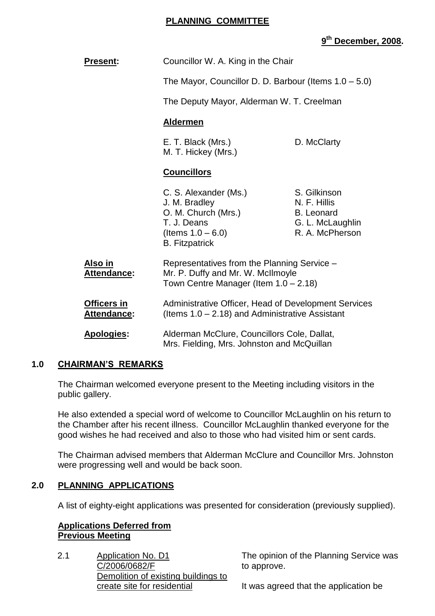### **PLANNING COMMITTEE**

# **9 th December, 2008.**

| <b>Present:</b>            | Councillor W. A. King in the Chair<br>The Mayor, Councillor D. D. Barbour (Items $1.0 - 5.0$ )<br>The Deputy Mayor, Alderman W. T. Creelman<br><b>Aldermen</b> |                                                                                          |
|----------------------------|----------------------------------------------------------------------------------------------------------------------------------------------------------------|------------------------------------------------------------------------------------------|
|                            |                                                                                                                                                                |                                                                                          |
|                            |                                                                                                                                                                |                                                                                          |
|                            |                                                                                                                                                                |                                                                                          |
|                            | E. T. Black (Mrs.)<br>M. T. Hickey (Mrs.)                                                                                                                      | D. McClarty                                                                              |
|                            | <b>Councillors</b>                                                                                                                                             |                                                                                          |
|                            | C. S. Alexander (Ms.)<br>J. M. Bradley<br>O. M. Church (Mrs.)<br>T. J. Deans<br>(Items $1.0 - 6.0$ )<br><b>B.</b> Fitzpatrick                                  | S. Gilkinson<br>N. F. Hillis<br><b>B.</b> Leonard<br>G. L. McLaughlin<br>R. A. McPherson |
| Also in<br>Attendance:     | Representatives from the Planning Service -<br>Mr. P. Duffy and Mr. W. McIlmoyle<br>Town Centre Manager (Item $1.0 - 2.18$ )                                   |                                                                                          |
| Officers in<br>Attendance: | Administrative Officer, Head of Development Services<br>(Items $1.0 - 2.18$ ) and Administrative Assistant                                                     |                                                                                          |
| <b>Apologies:</b>          | Alderman McClure, Councillors Cole, Dallat,<br>Mrs. Fielding, Mrs. Johnston and McQuillan                                                                      |                                                                                          |

# **1.0 CHAIRMAN'S REMARKS**

The Chairman welcomed everyone present to the Meeting including visitors in the public gallery.

He also extended a special word of welcome to Councillor McLaughlin on his return to the Chamber after his recent illness. Councillor McLaughlin thanked everyone for the good wishes he had received and also to those who had visited him or sent cards.

The Chairman advised members that Alderman McClure and Councillor Mrs. Johnston were progressing well and would be back soon.

### **2.0 PLANNING APPLICATIONS**

A list of eighty-eight applications was presented for consideration (previously supplied).

### **Applications Deferred from Previous Meeting**

2.1 Application No. D1 C/2006/0682/F Demolition of existing buildings to create site for residential

The opinion of the Planning Service was to approve.

It was agreed that the application be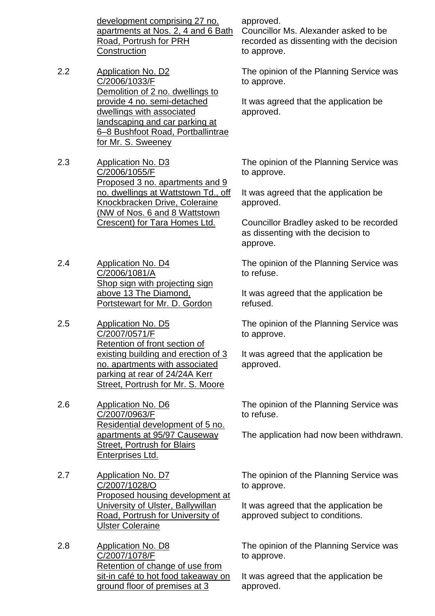development comprising 27 no. apartments at Nos. 2, 4 and 6 Bath Road, Portrush for PRH **Construction** 

- 2.2 Application No. D2 C/2006/1033/F Demolition of 2 no. dwellings to provide 4 no. semi-detached dwellings with associated landscaping and car parking at 6–8 Bushfoot Road, Portballintrae for Mr. S. Sweeney
- 2.3 Application No. D3 C/2006/1055/F Proposed 3 no. apartments and 9 no. dwellings at Wattstown Td., off Knockbracken Drive, Coleraine (NW of Nos. 6 and 8 Wattstown Crescent) for Tara Homes Ltd.

2.4 Application No. D4 C/2006/1081/A Shop sign with projecting sign above 13 The Diamond, Portstewart for Mr. D. Gordon

2.5 Application No. D5 C/2007/0571/F Retention of front section of existing building and erection of 3 no. apartments with associated parking at rear of 24/24A Kerr Street, Portrush for Mr. S. Moore

2.6 Application No. D6 C/2007/0963/F Residential development of 5 no. apartments at 95/97 Causeway Street, Portrush for Blairs Enterprises Ltd.

- 2.7 Application No. D7 C/2007/1028/O Proposed housing development at University of Ulster, Ballywillan Road, Portrush for University of Ulster Coleraine
- 2.8 Application No. D8 C/2007/1078/F Retention of change of use from sit-in café to hot food takeaway on ground floor of premises at 3

approved.

Councillor Ms. Alexander asked to be recorded as dissenting with the decision to approve.

The opinion of the Planning Service was to approve.

It was agreed that the application be approved.

The opinion of the Planning Service was to approve.

It was agreed that the application be approved.

Councillor Bradley asked to be recorded as dissenting with the decision to approve.

The opinion of the Planning Service was to refuse.

It was agreed that the application be refused.

The opinion of the Planning Service was to approve.

It was agreed that the application be approved.

The opinion of the Planning Service was to refuse.

The application had now been withdrawn.

The opinion of the Planning Service was to approve.

It was agreed that the application be approved subject to conditions.

The opinion of the Planning Service was to approve.

It was agreed that the application be approved.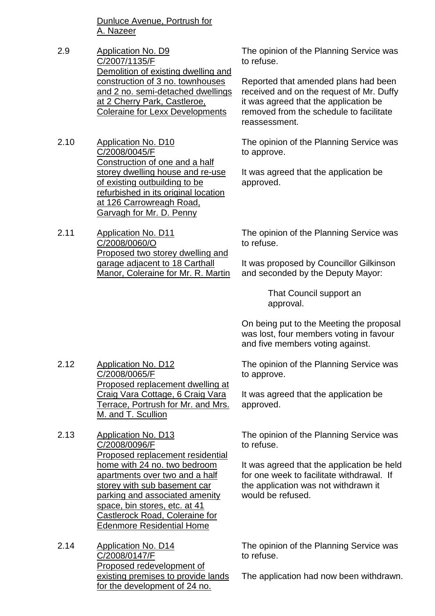Dunluce Avenue, Portrush for A. Nazeer

- 2.9 Application No. D9 C/2007/1135/F Demolition of existing dwelling and construction of 3 no. townhouses and 2 no. semi-detached dwellings at 2 Cherry Park, Castleroe, Coleraine for Lexx Developments
- 2.10 Application No. D10 C/2008/0045/F Construction of one and a half storey dwelling house and re-use of existing outbuilding to be refurbished in its original location at 126 Carrowreagh Road, Garvagh for Mr. D. Penny
- 2.11 Application No. D11 C/2008/0060/O Proposed two storey dwelling and garage adjacent to 18 Carthall Manor, Coleraine for Mr. R. Martin

The opinion of the Planning Service was to refuse.

Reported that amended plans had been received and on the request of Mr. Duffy it was agreed that the application be removed from the schedule to facilitate reassessment.

The opinion of the Planning Service was to approve.

It was agreed that the application be approved.

The opinion of the Planning Service was to refuse.

It was proposed by Councillor Gilkinson and seconded by the Deputy Mayor:

> That Council support an approval.

On being put to the Meeting the proposal was lost, four members voting in favour and five members voting against.

The opinion of the Planning Service was to approve.

It was agreed that the application be approved.

The opinion of the Planning Service was to refuse.

It was agreed that the application be held for one week to facilitate withdrawal. If the application was not withdrawn it would be refused.

The opinion of the Planning Service was to refuse.

The application had now been withdrawn.

- 2.12 Application No. D12 C/2008/0065/F Proposed replacement dwelling at Craig Vara Cottage, 6 Craig Vara Terrace, Portrush for Mr. and Mrs. M. and T. Scullion
- 2.13 Application No. D13 C/2008/0096/F Proposed replacement residential home with 24 no. two bedroom apartments over two and a half storey with sub basement car parking and associated amenity space, bin stores, etc. at 41 Castlerock Road, Coleraine for Edenmore Residential Home
- 2.14 Application No. D14 C/2008/0147/F Proposed redevelopment of existing premises to provide lands for the development of 24 no.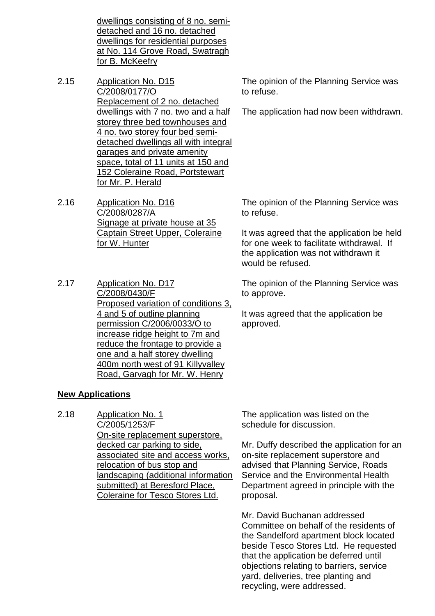dwellings consisting of 8 no. semidetached and 16 no. detached dwellings for residential purposes at No. 114 Grove Road, Swatragh for B. McKeefry

- 2.15 Application No. D15 C/2008/0177/O Replacement of 2 no. detached dwellings with 7 no. two and a half storey three bed townhouses and 4 no. two storey four bed semidetached dwellings all with integral garages and private amenity space, total of 11 units at 150 and 152 Coleraine Road, Portstewart for Mr. P. Herald
- 2.16 Application No. D16 C/2008/0287/A Signage at private house at 35 Captain Street Upper, Coleraine for W. Hunter
- 2.17 Application No. D17 C/2008/0430/F Proposed variation of conditions 3, 4 and 5 of outline planning permission C/2006/0033/O to increase ridge height to 7m and reduce the frontage to provide a one and a half storey dwelling 400m north west of 91 Killyvalley Road, Garvagh for Mr. W. Henry

### **New Applications**

2.18 Application No. 1 C/2005/1253/F On-site replacement superstore, decked car parking to side, associated site and access works, relocation of bus stop and landscaping (additional information submitted) at Beresford Place, Coleraine for Tesco Stores Ltd.

The opinion of the Planning Service was to refuse.

The application had now been withdrawn.

The opinion of the Planning Service was to refuse.

It was agreed that the application be held for one week to facilitate withdrawal. If the application was not withdrawn it would be refused.

The opinion of the Planning Service was to approve.

It was agreed that the application be approved.

The application was listed on the schedule for discussion.

Mr. Duffy described the application for an on-site replacement superstore and advised that Planning Service, Roads Service and the Environmental Health Department agreed in principle with the proposal.

Mr. David Buchanan addressed Committee on behalf of the residents of the Sandelford apartment block located beside Tesco Stores Ltd. He requested that the application be deferred until objections relating to barriers, service yard, deliveries, tree planting and recycling, were addressed.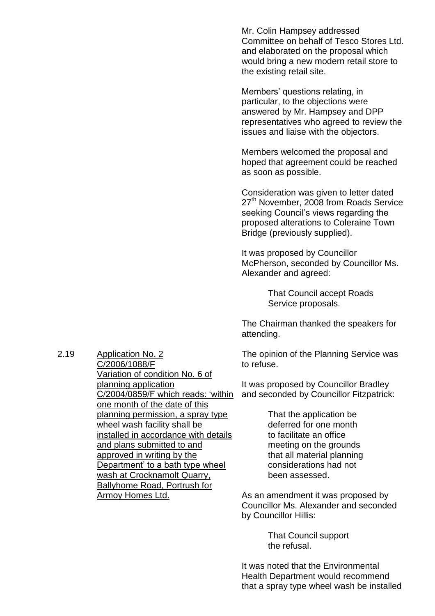Mr. Colin Hampsey addressed Committee on behalf of Tesco Stores Ltd. and elaborated on the proposal which would bring a new modern retail store to the existing retail site.

Members' questions relating, in particular, to the objections were answered by Mr. Hampsey and DPP representatives who agreed to review the issues and liaise with the objectors.

Members welcomed the proposal and hoped that agreement could be reached as soon as possible.

Consideration was given to letter dated 27<sup>th</sup> November, 2008 from Roads Service seeking Council's views regarding the proposed alterations to Coleraine Town Bridge (previously supplied).

It was proposed by Councillor McPherson, seconded by Councillor Ms. Alexander and agreed:

> That Council accept Roads Service proposals.

The Chairman thanked the speakers for attending.

The opinion of the Planning Service was to refuse.

It was proposed by Councillor Bradley and seconded by Councillor Fitzpatrick:

> That the application be deferred for one month to facilitate an office meeting on the grounds that all material planning considerations had not been assessed.

As an amendment it was proposed by Councillor Ms. Alexander and seconded by Councillor Hillis:

> That Council support the refusal.

It was noted that the Environmental Health Department would recommend that a spray type wheel wash be installed

2.19 Application No. 2

C/2006/1088/F Variation of condition No. 6 of planning application C/2004/0859/F which reads: 'within one month of the date of this planning permission, a spray type wheel wash facility shall be installed in accordance with details and plans submitted to and approved in writing by the Department' to a bath type wheel wash at Crocknamolt Quarry, Ballyhome Road, Portrush for Armoy Homes Ltd.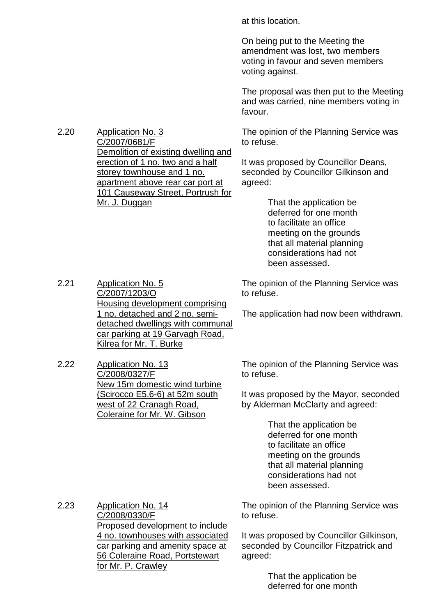at this location.

On being put to the Meeting the amendment was lost, two members voting in favour and seven members voting against.

The proposal was then put to the Meeting and was carried, nine members voting in favour.

The opinion of the Planning Service was to refuse.

It was proposed by Councillor Deans, seconded by Councillor Gilkinson and agreed:

> That the application be deferred for one month to facilitate an office meeting on the grounds that all material planning considerations had not been assessed.

The opinion of the Planning Service was to refuse.

The application had now been withdrawn.

2.21 Application No. 5 C/2007/1203/O Housing development comprising 1 no. detached and 2 no. semidetached dwellings with communal car parking at 19 Garvagh Road, Kilrea for Mr. T. Burke

2.22 Application No. 13 C/2008/0327/F New 15m domestic wind turbine (Scirocco E5.6-6) at 52m south west of 22 Cranagh Road, Coleraine for Mr. W. Gibson

The opinion of the Planning Service was to refuse.

It was proposed by the Mayor, seconded by Alderman McClarty and agreed:

> That the application be deferred for one month to facilitate an office meeting on the grounds that all material planning considerations had not been assessed.

2.23 Application No. 14 C/2008/0330/F Proposed development to include 4 no. townhouses with associated car parking and amenity space at 56 Coleraine Road, Portstewart for Mr. P. Crawley

The opinion of the Planning Service was to refuse.

It was proposed by Councillor Gilkinson, seconded by Councillor Fitzpatrick and agreed:

> That the application be deferred for one month

2.20 Application No. 3 C/2007/0681/F Demolition of existing dwelling and erection of 1 no. two and a half storey townhouse and 1 no. apartment above rear car port at 101 Causeway Street, Portrush for Mr. J. Duggan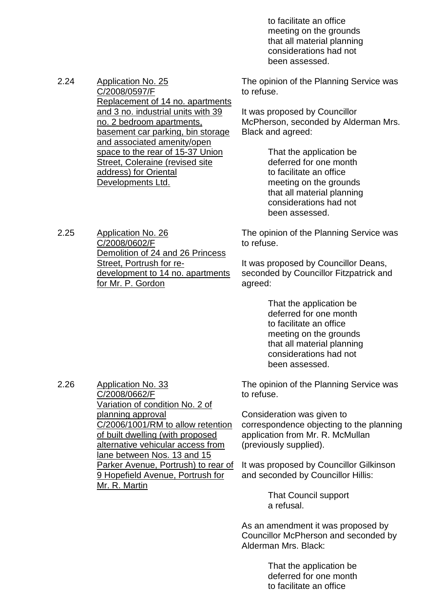to facilitate an office meeting on the grounds that all material planning considerations had not been assessed.

2.24 Application No. 25 C/2008/0597/F Replacement of 14 no. apartments and 3 no. industrial units with 39 no. 2 bedroom apartments, basement car parking, bin storage and associated amenity/open space to the rear of 15-37 Union Street, Coleraine (revised site address) for Oriental Developments Ltd.

The opinion of the Planning Service was to refuse.

It was proposed by Councillor McPherson, seconded by Alderman Mrs. Black and agreed:

> That the application be deferred for one month to facilitate an office meeting on the grounds that all material planning considerations had not been assessed.

The opinion of the Planning Service was to refuse.

It was proposed by Councillor Deans, seconded by Councillor Fitzpatrick and agreed:

> That the application be deferred for one month to facilitate an office meeting on the grounds that all material planning considerations had not been assessed.

The opinion of the Planning Service was to refuse.

Consideration was given to correspondence objecting to the planning application from Mr. R. McMullan (previously supplied).

It was proposed by Councillor Gilkinson and seconded by Councillor Hillis:

> That Council support a refusal.

As an amendment it was proposed by Councillor McPherson and seconded by Alderman Mrs. Black:

> That the application be deferred for one month to facilitate an office

2.25 Application No. 26 C/2008/0602/F Demolition of 24 and 26 Princess Street, Portrush for redevelopment to 14 no. apartments for Mr. P. Gordon

2.26 Application No. 33

C/2008/0662/F Variation of condition No. 2 of planning approval C/2006/1001/RM to allow retention of built dwelling (with proposed alternative vehicular access from lane between Nos. 13 and 15 Parker Avenue, Portrush) to rear of 9 Hopefield Avenue, Portrush for Mr. R. Martin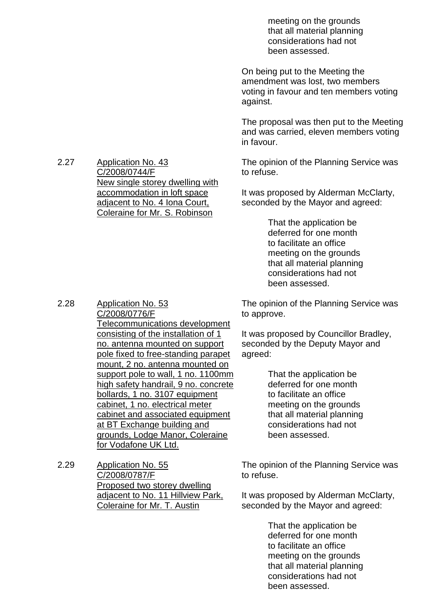meeting on the grounds that all material planning considerations had not been assessed.

On being put to the Meeting the amendment was lost, two members voting in favour and ten members voting against.

The proposal was then put to the Meeting and was carried, eleven members voting in favour.

The opinion of the Planning Service was to refuse.

It was proposed by Alderman McClarty, seconded by the Mayor and agreed:

> That the application be deferred for one month to facilitate an office meeting on the grounds that all material planning considerations had not been assessed.

The opinion of the Planning Service was to approve.

It was proposed by Councillor Bradley, seconded by the Deputy Mayor and agreed:

> That the application be deferred for one month to facilitate an office meeting on the grounds that all material planning considerations had not been assessed.

The opinion of the Planning Service was to refuse.

It was proposed by Alderman McClarty, seconded by the Mayor and agreed:

> That the application be deferred for one month to facilitate an office meeting on the grounds that all material planning considerations had not been assessed.

2.27 Application No. 43 C/2008/0744/F New single storey dwelling with accommodation in loft space adjacent to No. 4 Iona Court, Coleraine for Mr. S. Robinson

2.28 Application No. 53

C/2008/0776/F Telecommunications development consisting of the installation of 1 no. antenna mounted on support pole fixed to free-standing parapet mount, 2 no. antenna mounted on support pole to wall, 1 no. 1100mm high safety handrail, 9 no. concrete bollards, 1 no. 3107 equipment cabinet, 1 no. electrical meter cabinet and associated equipment at BT Exchange building and grounds, Lodge Manor, Coleraine for Vodafone UK Ltd.

2.29 Application No. 55 C/2008/0787/F Proposed two storey dwelling adjacent to No. 11 Hillview Park, Coleraine for Mr. T. Austin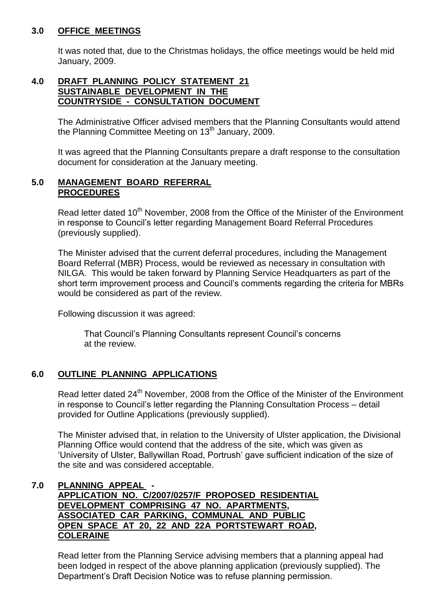### **3.0 OFFICE MEETINGS**

It was noted that, due to the Christmas holidays, the office meetings would be held mid January, 2009.

### **4.0 DRAFT PLANNING POLICY STATEMENT 21 SUSTAINABLE DEVELOPMENT IN THE COUNTRYSIDE - CONSULTATION DOCUMENT**

The Administrative Officer advised members that the Planning Consultants would attend the Planning Committee Meeting on  $13<sup>th</sup>$  January, 2009.

It was agreed that the Planning Consultants prepare a draft response to the consultation document for consideration at the January meeting.

### **5.0 MANAGEMENT BOARD REFERRAL PROCEDURES**

Read letter dated 10<sup>th</sup> November, 2008 from the Office of the Minister of the Environment in response to Council's letter regarding Management Board Referral Procedures (previously supplied).

The Minister advised that the current deferral procedures, including the Management Board Referral (MBR) Process, would be reviewed as necessary in consultation with NILGA. This would be taken forward by Planning Service Headquarters as part of the short term improvement process and Council's comments regarding the criteria for MBRs would be considered as part of the review.

Following discussion it was agreed:

That Council's Planning Consultants represent Council's concerns at the review.

# **6.0 OUTLINE PLANNING APPLICATIONS**

Read letter dated 24<sup>th</sup> November, 2008 from the Office of the Minister of the Environment in response to Council's letter regarding the Planning Consultation Process – detail provided for Outline Applications (previously supplied).

The Minister advised that, in relation to the University of Ulster application, the Divisional Planning Office would contend that the address of the site, which was given as 'University of Ulster, Ballywillan Road, Portrush' gave sufficient indication of the size of the site and was considered acceptable.

### **7.0 PLANNING APPEAL - APPLICATION NO. C/2007/0257/F PROPOSED RESIDENTIAL DEVELOPMENT COMPRISING 47 NO. APARTMENTS, ASSOCIATED CAR PARKING, COMMUNAL AND PUBLIC OPEN SPACE AT 20, 22 AND 22A PORTSTEWART ROAD, COLERAINE**

Read letter from the Planning Service advising members that a planning appeal had been lodged in respect of the above planning application (previously supplied). The Department's Draft Decision Notice was to refuse planning permission.